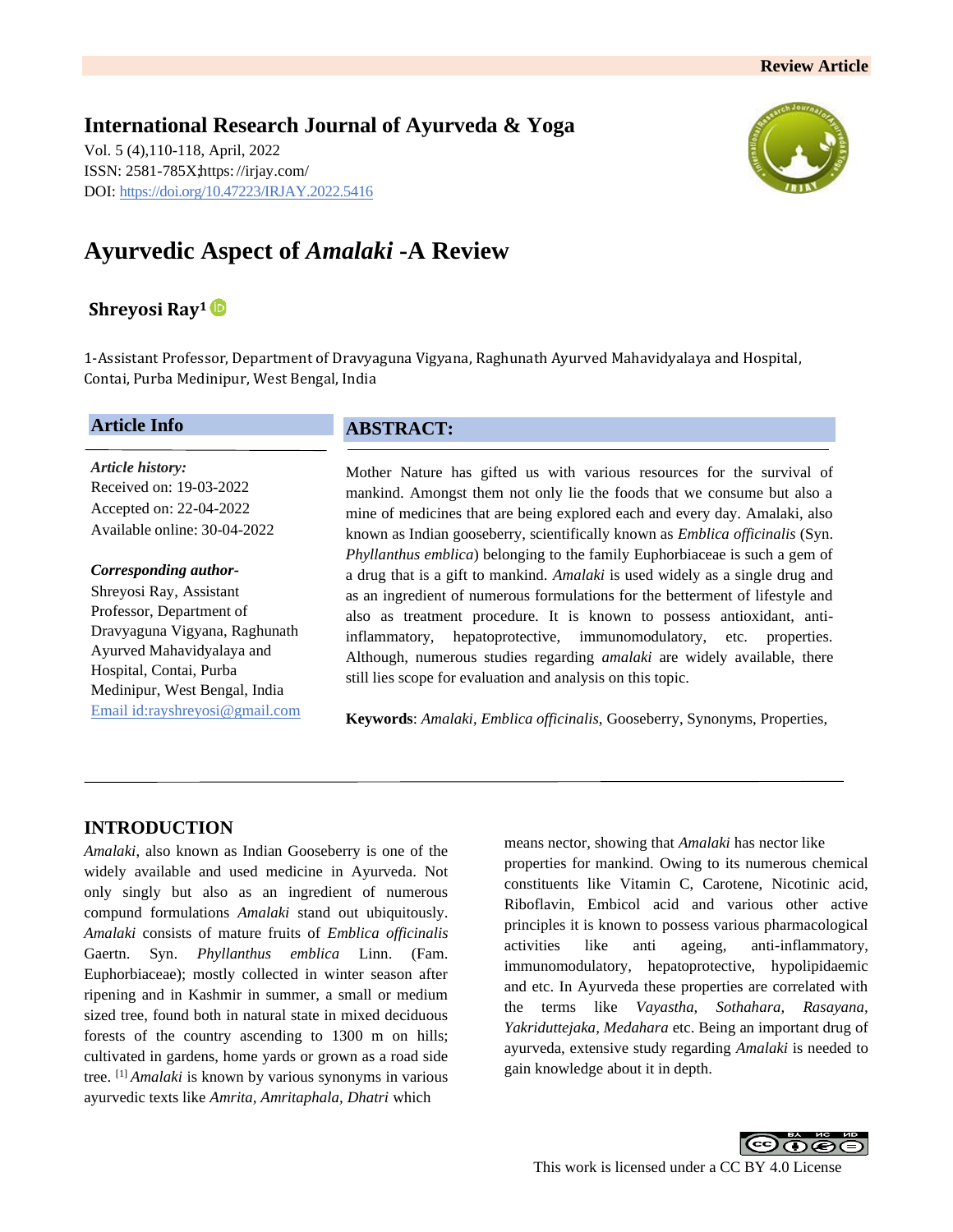**International Research Journal of Ayurveda & Yoga** Vol. 5 (4),110-118, April, 2022 ISSN: 2581-785X; https: [//irjay.com/](https://irjay.com/) DOI: https://doi.org/10.47223/IRJAY.2022.5416



# **Ayurvedic Aspect of** *Amalaki* **-A Review**

# **Shreyosi Ray<sup>1</sup>**

1-Assistant Professor, Department of Dravyaguna Vigyana, Raghunath Ayurved Mahavidyalaya and Hospital, Contai, Purba Medinipur, West Bengal, India

## **Article Info**

*Article history:* Received on: 19-03-2022 Accepted on: 22-04-2022 Available online: 30-04-2022

#### *Corresponding author-*

Shreyosi Ray, Assistant Professor, Department of Dravyaguna Vigyana, Raghunath Ayurved Mahavidyalaya and Hospital, Contai, Purba Medinipur, West Bengal, India Email id[:rayshreyosi@gmail.com](mailto:rayshreyosi@gmail.com)

# **ABSTRACT:**

Mother Nature has gifted us with various resources for the survival of mankind. Amongst them not only lie the foods that we consume but also a mine of medicines that are being explored each and every day. Amalaki, also known as Indian gooseberry, scientifically known as *Emblica officinalis* (Syn. *Phyllanthus emblica*) belonging to the family Euphorbiaceae is such a gem of a drug that is a gift to mankind. *Amalaki* is used widely as a single drug and as an ingredient of numerous formulations for the betterment of lifestyle and also as treatment procedure. It is known to possess antioxidant, antiinflammatory, hepatoprotective, immunomodulatory, etc. properties. Although, numerous studies regarding *amalaki* are widely available, there still lies scope for evaluation and analysis on this topic.

**Keywords**: *Amalaki*, *Emblica officinalis*, Gooseberry, Synonyms, Properties,

# **INTRODUCTION**

*Amalaki*, also known as Indian Gooseberry is one of the widely available and used medicine in Ayurveda. Not only singly but also as an ingredient of numerous compund formulations *Amalaki* stand out ubiquitously. *Amalaki* consists of mature fruits of *Emblica officinalis* Gaertn. Syn. *Phyllanthus emblica* Linn. (Fam. Euphorbiaceae); mostly collected in winter season after ripening and in Kashmir in summer, a small or medium sized tree, found both in natural state in mixed deciduous forests of the country ascending to 1300 m on hills; cultivated in gardens, home yards or grown as a road side tree. [1] *Amalaki* is known by various synonyms in various ayurvedic texts like *Amrita, Amritaphala, Dhatri* which

means nector, showing that *Amalaki* has nector like properties for mankind. Owing to its numerous chemical constituents like Vitamin C, Carotene, Nicotinic acid, Riboflavin, Embicol acid and various other active principles it is known to possess various pharmacological activities like anti ageing, anti-inflammatory, immunomodulatory, hepatoprotective, hypolipidaemic and etc. In Ayurveda these properties are correlated with the terms like *Vayastha, Sothahara, Rasayana, Yakriduttejaka, Medahara* etc. Being an important drug of ayurveda, extensive study regarding *Amalaki* is needed to gain knowledge about it in depth.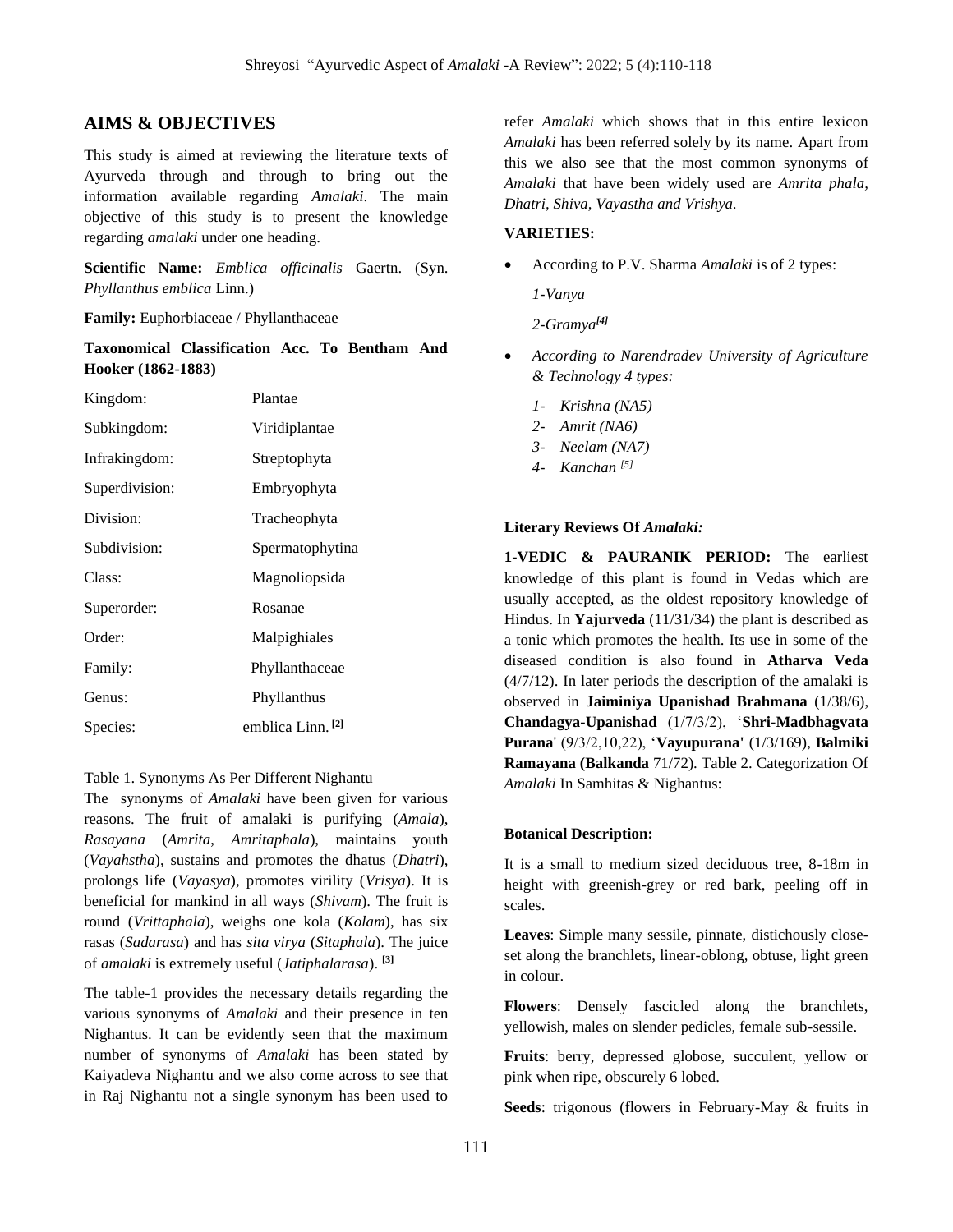# **AIMS & OBJECTIVES**

This study is aimed at reviewing the literature texts of Ayurveda through and through to bring out the information available regarding *Amalaki*. The main objective of this study is to present the knowledge regarding *amalaki* under one heading.

**Scientific Name:** *Emblica officinalis* Gaertn. (Syn. *Phyllanthus emblica* Linn.)

**Family:** Euphorbiaceae / Phyllanthaceae

**Taxonomical Classification Acc. To Bentham And Hooker (1862-1883)** 

| Kingdom:       | Plantae              |
|----------------|----------------------|
| Subkingdom:    | Viridiplantae        |
| Infrakingdom:  | Streptophyta         |
| Superdivision: | Embryophyta          |
| Division:      | Tracheophyta         |
| Subdivision:   | Spermatophytina      |
| Class:         | Magnoliopsida        |
| Superorder:    | Rosanae              |
| Order:         | Malpighiales         |
| Family:        | Phyllanthaceae       |
| Genus:         | Phyllanthus          |
| Species:       | emblica Linn.<br>[2] |

#### Table 1. Synonyms As Per Different Nighantu

The synonyms of *Amalaki* have been given for various reasons. The fruit of amalaki is purifying (*Amala*), *Rasayana* (*Amrita*, *Amritaphala*), maintains youth (*Vayahstha*), sustains and promotes the dhatus (*Dhatri*), prolongs life (*Vayasya*), promotes virility (*Vrisya*). It is beneficial for mankind in all ways (*Shivam*). The fruit is round (*Vrittaphala*), weighs one kola (*Kolam*), has six rasas (*Sadarasa*) and has *sita virya* (*Sitaphala*). The juice of *amalaki* is extremely useful (*Jatiphalarasa*). **[3]**

The table-1 provides the necessary details regarding the various synonyms of *Amalaki* and their presence in ten Nighantus. It can be evidently seen that the maximum number of synonyms of *Amalaki* has been stated by Kaiyadeva Nighantu and we also come across to see that in Raj Nighantu not a single synonym has been used to

refer *Amalaki* which shows that in this entire lexicon *Amalaki* has been referred solely by its name. Apart from this we also see that the most common synonyms of *Amalaki* that have been widely used are *Amrita phala, Dhatri, Shiva, Vayastha and Vrishya.* 

#### **VARIETIES:**

• According to P.V. Sharma *Amalaki* is of 2 types:

*1-Vanya*

*2-Gramya[4]*

- *According to Narendradev University of Agriculture & Technology 4 types:* 
	- *1- Krishna (NA5)*
	- *2- Amrit (NA6)*
	- *3- Neelam (NA7)*
	- *4- Kanchan [5]*

#### Literary Reviews Of *Amalaki*:

**1-VEDIC & PAURANIK PERIOD:** The earliest knowledge of this plant is found in Vedas which are usually accepted, as the oldest repository knowledge of Hindus. In **Yajurveda** (11/31/34) the plant is described as a tonic which promotes the health. Its use in some of the diseased condition is also found in **Atharva Veda** (4/7/12). In later periods the description of the amalaki is observed in **Jaiminiya Upanishad Brahmana** (1/38/6), **Chandagya-Upanishad** (1/7/3/2), '**Shri-Madbhagvata Purana**' (9/3/2,10,22), '**Vayupurana'** (1/3/169), **Balmiki Ramayana (Balkanda** 71/72). Table 2. Categorization Of *Amalaki* In Samhitas & Nighantus:

#### **Botanical Description:**

It is a small to medium sized deciduous tree, 8-18m in height with greenish-grey or red bark, peeling off in scales.

**Leaves**: Simple many sessile, pinnate, distichously closeset along the branchlets, linear-oblong, obtuse, light green in colour.

**Flowers**: Densely fascicled along the branchlets, yellowish, males on slender pedicles, female sub-sessile.

**Fruits**: berry, depressed globose, succulent, yellow or pink when ripe, obscurely 6 lobed.

**Seeds**: trigonous (flowers in February-May & fruits in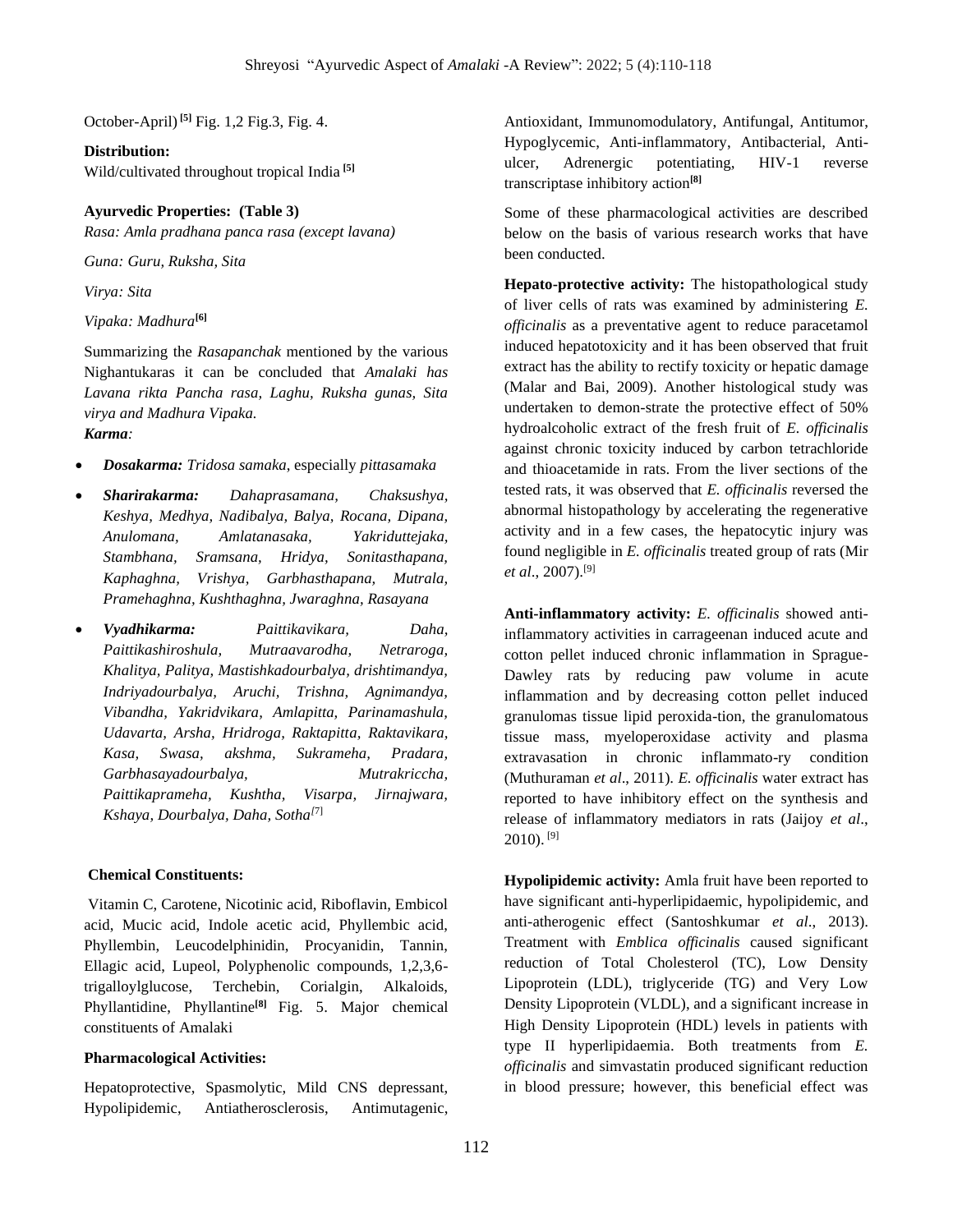October-April)**[5]** Fig. 1,2 Fig.3, Fig. 4.

#### **Distribution:**

Wild/cultivated throughout tropical India **[5]**

## **Ayurvedic Properties: (Table 3)**

*Rasa: Amla pradhana panca rasa (except lavana)*

*Guna: Guru, Ruksha, Sita*

*Virya: Sita*

*Vipaka: Madhura***[6]**

Summarizing the *Rasapanchak* mentioned by the various Nighantukaras it can be concluded that *Amalaki has Lavana rikta Pancha rasa, Laghu, Ruksha gunas, Sita virya and Madhura Vipaka.*

*Karma:* 

- *Dosakarma: Tridosa samaka*, especially *pittasamaka*
- *Sharirakarma: Dahaprasamana, Chaksushya, Keshya, Medhya, Nadibalya, Balya, Rocana, Dipana, Anulomana, Amlatanasaka, Yakriduttejaka, Stambhana, Sramsana, Hridya, Sonitasthapana, Kaphaghna, Vrishya, Garbhasthapana, Mutrala, Pramehaghna, Kushthaghna, Jwaraghna, Rasayana*
- *Vyadhikarma: Paittikavikara, Daha, Paittikashiroshula, Mutraavarodha, Netraroga, Khalitya, Palitya, Mastishkadourbalya, drishtimandya, Indriyadourbalya, Aruchi, Trishna, Agnimandya, Vibandha, Yakridvikara, Amlapitta, Parinamashula, Udavarta, Arsha, Hridroga, Raktapitta, Raktavikara, Kasa, Swasa, akshma, Sukrameha, Pradara, Garbhasayadourbalya, Mutrakriccha, Paittikaprameha, Kushtha, Visarpa, Jirnajwara, Kshaya, Dourbalya, Daha, Sotha[*7]

## **Chemical Constituents:**

Vitamin C, Carotene, Nicotinic acid, Riboflavin, Embicol acid, Mucic acid, Indole acetic acid, Phyllembic acid, Phyllembin, Leucodelphinidin, Procyanidin, Tannin, Ellagic acid, Lupeol, Polyphenolic compounds, 1,2,3,6 trigalloylglucose, Terchebin, Corialgin, Alkaloids, Phyllantidine, Phyllantine**[8]** Fig. 5. Major chemical constituents of Amalaki

## **Pharmacological Activities:**

Hepatoprotective, Spasmolytic, Mild CNS depressant, Hypolipidemic, Antiatherosclerosis, Antimutagenic, Antioxidant, Immunomodulatory, Antifungal, Antitumor, Hypoglycemic, Anti-inflammatory, Antibacterial, Antiulcer, Adrenergic potentiating, HIV-1 reverse transcriptase inhibitory action**[8]**

Some of these pharmacological activities are described below on the basis of various research works that have been conducted.

**Hepato-protective activity:** The histopathological study of liver cells of rats was examined by administering *E. officinalis* as a preventative agent to reduce paracetamol induced hepatotoxicity and it has been observed that fruit extract has the ability to rectify toxicity or hepatic damage (Malar and Bai, 2009). Another histological study was undertaken to demon-strate the protective effect of 50% hydroalcoholic extract of the fresh fruit of *E. officinalis*  against chronic toxicity induced by carbon tetrachloride and thioacetamide in rats. From the liver sections of the tested rats, it was observed that *E. officinalis* reversed the abnormal histopathology by accelerating the regenerative activity and in a few cases, the hepatocytic injury was found negligible in *E. officinalis* treated group of rats (Mir *et al*., 2007).[9]

**Anti-inflammatory activity:** *E. officinalis* showed antiinflammatory activities in carrageenan induced acute and cotton pellet induced chronic inflammation in Sprague-Dawley rats by reducing paw volume in acute inflammation and by decreasing cotton pellet induced granulomas tissue lipid peroxida-tion, the granulomatous tissue mass, myeloperoxidase activity and plasma extravasation in chronic inflammato-ry condition (Muthuraman *et al*., 2011). *E. officinalis* water extract has reported to have inhibitory effect on the synthesis and release of inflammatory mediators in rats (Jaijoy *et al*.,  $2010$ ). [9]

**Hypolipidemic activity:** Amla fruit have been reported to have significant anti-hyperlipidaemic, hypolipidemic, and anti-atherogenic effect (Santoshkumar *et al*., 2013). Treatment with *Emblica officinalis* caused significant reduction of Total Cholesterol (TC), Low Density Lipoprotein (LDL), triglyceride (TG) and Very Low Density Lipoprotein (VLDL), and a significant increase in High Density Lipoprotein (HDL) levels in patients with type II hyperlipidaemia. Both treatments from *E. officinalis* and simvastatin produced significant reduction in blood pressure; however, this beneficial effect was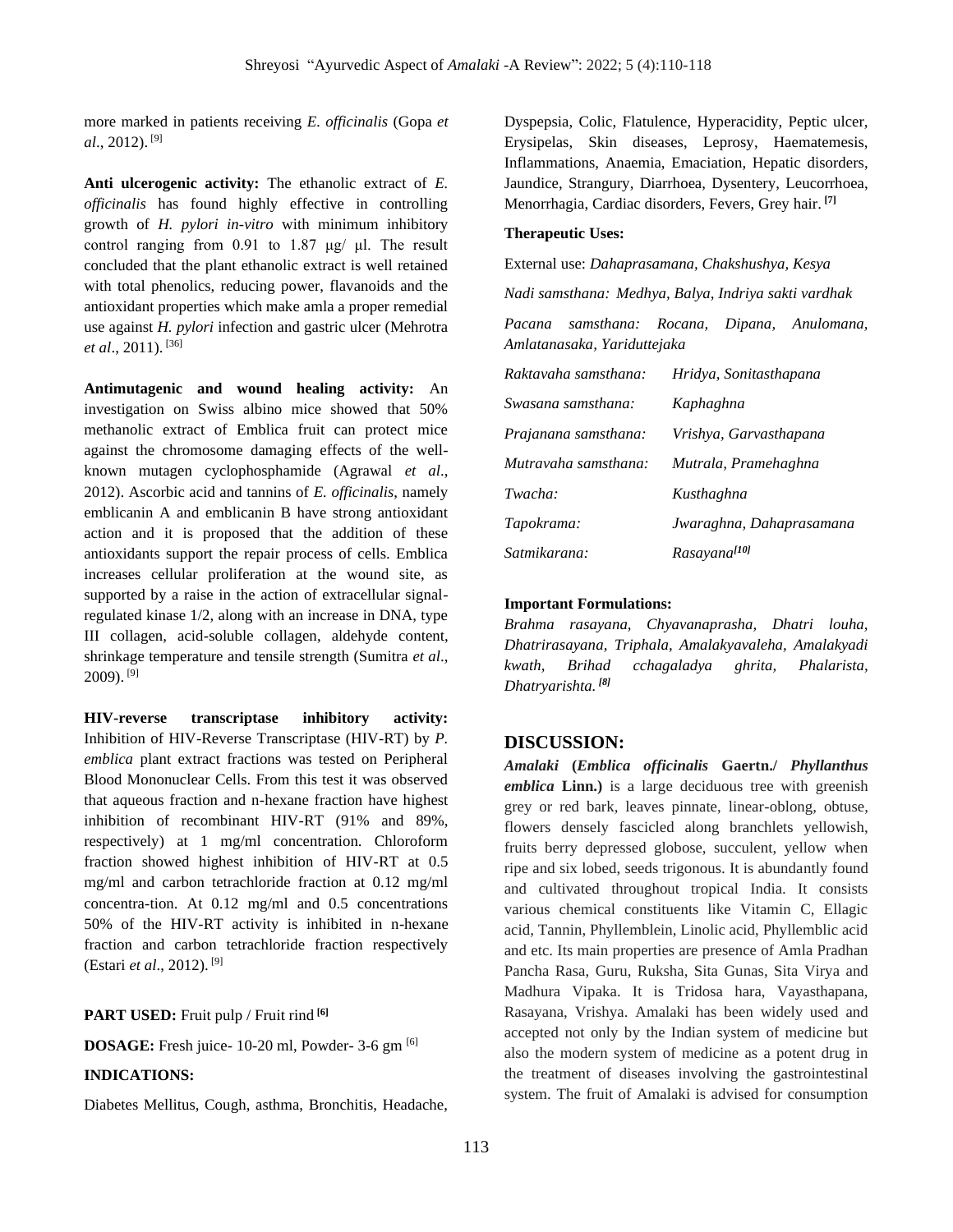more marked in patients receiving *E. officinalis* (Gopa *et al*., 2012). [9]

**Anti ulcerogenic activity:** The ethanolic extract of *E. officinalis* has found highly effective in controlling growth of *H. pylori in-vitro* with minimum inhibitory control ranging from 0.91 to 1.87 μg/ μl. The result concluded that the plant ethanolic extract is well retained with total phenolics, reducing power, flavanoids and the antioxidant properties which make amla a proper remedial use against *H. pylori* infection and gastric ulcer (Mehrotra *et al*., 2011). [36]

**Antimutagenic and wound healing activity:** An investigation on Swiss albino mice showed that 50% methanolic extract of Emblica fruit can protect mice against the chromosome damaging effects of the wellknown mutagen cyclophosphamide (Agrawal *et al*., 2012). Ascorbic acid and tannins of *E. officinalis*, namely emblicanin A and emblicanin B have strong antioxidant action and it is proposed that the addition of these antioxidants support the repair process of cells. Emblica increases cellular proliferation at the wound site, as supported by a raise in the action of extracellular signalregulated kinase 1/2, along with an increase in DNA, type III collagen, acid-soluble collagen, aldehyde content, shrinkage temperature and tensile strength (Sumitra *et al*., 2009). [9]

**HIV-reverse transcriptase inhibitory activity:**  Inhibition of HIV-Reverse Transcriptase (HIV-RT) by *P. emblica* plant extract fractions was tested on Peripheral Blood Mononuclear Cells. From this test it was observed that aqueous fraction and n-hexane fraction have highest inhibition of recombinant HIV-RT (91% and 89%, respectively) at 1 mg/ml concentration. Chloroform fraction showed highest inhibition of HIV-RT at 0.5 mg/ml and carbon tetrachloride fraction at 0.12 mg/ml concentra-tion. At 0.12 mg/ml and 0.5 concentrations 50% of the HIV-RT activity is inhibited in n-hexane fraction and carbon tetrachloride fraction respectively (Estari *et al*., 2012). [9]

#### **PART USED:** Fruit pulp / Fruit rind **[6]**

**DOSAGE:** Fresh juice- 10-20 ml, Powder- 3-6 gm [6]

## **INDICATIONS:**

Diabetes Mellitus, Cough, asthma, Bronchitis, Headache,

Dyspepsia, Colic, Flatulence, Hyperacidity, Peptic ulcer, Erysipelas, Skin diseases, Leprosy, Haematemesis, Inflammations, Anaemia, Emaciation, Hepatic disorders, Jaundice, Strangury, Diarrhoea, Dysentery, Leucorrhoea, Menorrhagia, Cardiac disorders, Fevers, Grey hair. **[7]**

#### **Therapeutic Uses:**

External use: *Dahaprasamana, Chakshushya, Kesya*

*Nadi samsthana: Medhya, Balya, Indriya sakti vardhak*

*Pacana samsthana: Rocana, Dipana, Anulomana, Amlatanasaka, Yariduttejaka*

| Raktavaha samsthana: | Hridya, Sonitasthapana   |
|----------------------|--------------------------|
| Swasana samsthana:   | Kaphaghna                |
| Prajanana samsthana: | Vrishya, Garvasthapana   |
| Mutravaha samsthana: | Mutrala, Pramehaghna     |
| Twacha:              | Kusthaghna               |
| Tapokrama:           | Jwaraghna, Dahaprasamana |
| Satmikarana:         | Rasayana <sup>[10]</sup> |

#### **Important Formulations:**

*Brahma rasayana, Chyavanaprasha, Dhatri louha, Dhatrirasayana, Triphala, Amalakyavaleha, Amalakyadi kwath, Brihad cchagaladya ghrita, Phalarista, Dhatryarishta. [8]*

## **DISCUSSION:**

*Amalaki* **(***Emblica officinalis* **Gaertn./** *Phyllanthus emblica* **Linn.)** is a large deciduous tree with greenish grey or red bark, leaves pinnate, linear-oblong, obtuse, flowers densely fascicled along branchlets yellowish, fruits berry depressed globose, succulent, yellow when ripe and six lobed, seeds trigonous. It is abundantly found and cultivated throughout tropical India. It consists various chemical constituents like Vitamin C, Ellagic acid, Tannin, Phyllemblein, Linolic acid, Phyllemblic acid and etc. Its main properties are presence of Amla Pradhan Pancha Rasa, Guru, Ruksha, Sita Gunas, Sita Virya and Madhura Vipaka. It is Tridosa hara, Vayasthapana, Rasayana, Vrishya. Amalaki has been widely used and accepted not only by the Indian system of medicine but also the modern system of medicine as a potent drug in the treatment of diseases involving the gastrointestinal system. The fruit of Amalaki is advised for consumption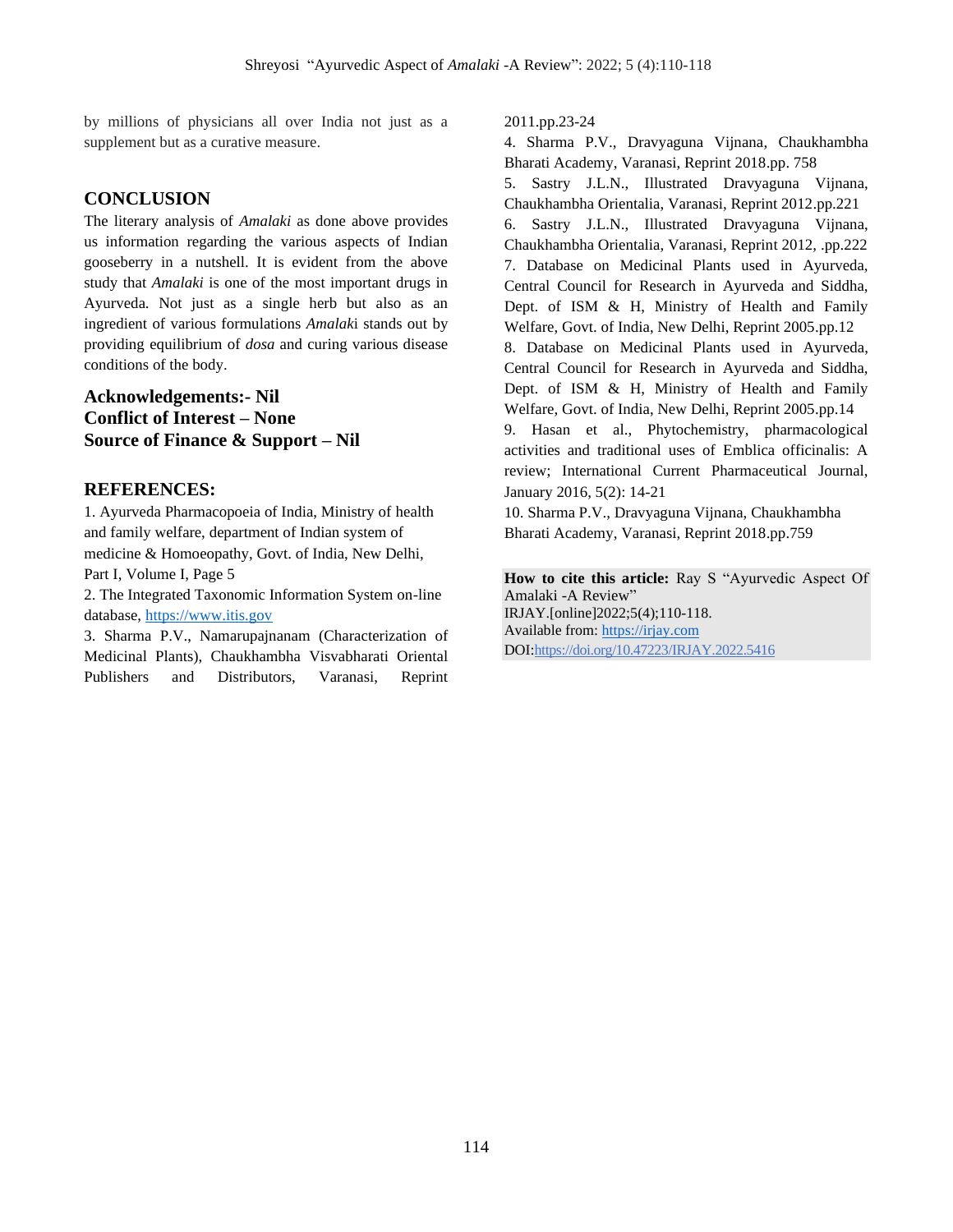by millions of physicians all over India not just as a supplement but as a curative measure.

# **CONCLUSION**

The literary analysis of *Amalaki* as done above provides us information regarding the various aspects of Indian gooseberry in a nutshell. It is evident from the above study that *Amalaki* is one of the most important drugs in Ayurveda. Not just as a single herb but also as an ingredient of various formulations *Amalak*i stands out by providing equilibrium of *dosa* and curing various disease conditions of the body.

# **Acknowledgements:- Nil Conflict of Interest – None Source of Finance & Support – Nil**

# **REFERENCES:**

1. Ayurveda Pharmacopoeia of India, Ministry of health and family welfare, department of Indian system of medicine & Homoeopathy, Govt. of India, New Delhi, Part I, Volume I, Page 5

2. The Integrated Taxonomic Information System on-line database, [https://www.itis.gov](https://www.itis.gov/)

3. Sharma P.V., Namarupajnanam (Characterization of Medicinal Plants), Chaukhambha Visvabharati Oriental Publishers and Distributors, Varanasi, Reprint 2011.pp.23-24

4. Sharma P.V., Dravyaguna Vijnana, Chaukhambha Bharati Academy, Varanasi, Reprint 2018.pp. 758 5. Sastry J.L.N., Illustrated Dravyaguna Vijnana, Chaukhambha Orientalia, Varanasi, Reprint 2012.pp.221 6. Sastry J.L.N., Illustrated Dravyaguna Vijnana, Chaukhambha Orientalia, Varanasi, Reprint 2012, .pp.222 7. Database on Medicinal Plants used in Ayurveda, Central Council for Research in Ayurveda and Siddha, Dept. of ISM & H, Ministry of Health and Family Welfare, Govt. of India, New Delhi, Reprint 2005.pp.12 8. Database on Medicinal Plants used in Ayurveda, Central Council for Research in Ayurveda and Siddha, Dept. of ISM & H, Ministry of Health and Family Welfare, Govt. of India, New Delhi, Reprint 2005.pp.14 9. Hasan et al., Phytochemistry, pharmacological activities and traditional uses of Emblica officinalis: A review; International Current Pharmaceutical Journal, January 2016, 5(2): 14-21 10. Sharma P.V., Dravyaguna Vijnana, Chaukhambha

Bharati Academy, Varanasi, Reprint 2018.pp.759

**How to cite this article:** Ray S "Ayurvedic Aspect Of Amalaki -A Review" IRJAY.[online]2022;5(4);110-118. Available from: [https://irjay.com](https://irjay.com/) DOI:https://doi.org/10.47223/IRJAY.2022.5416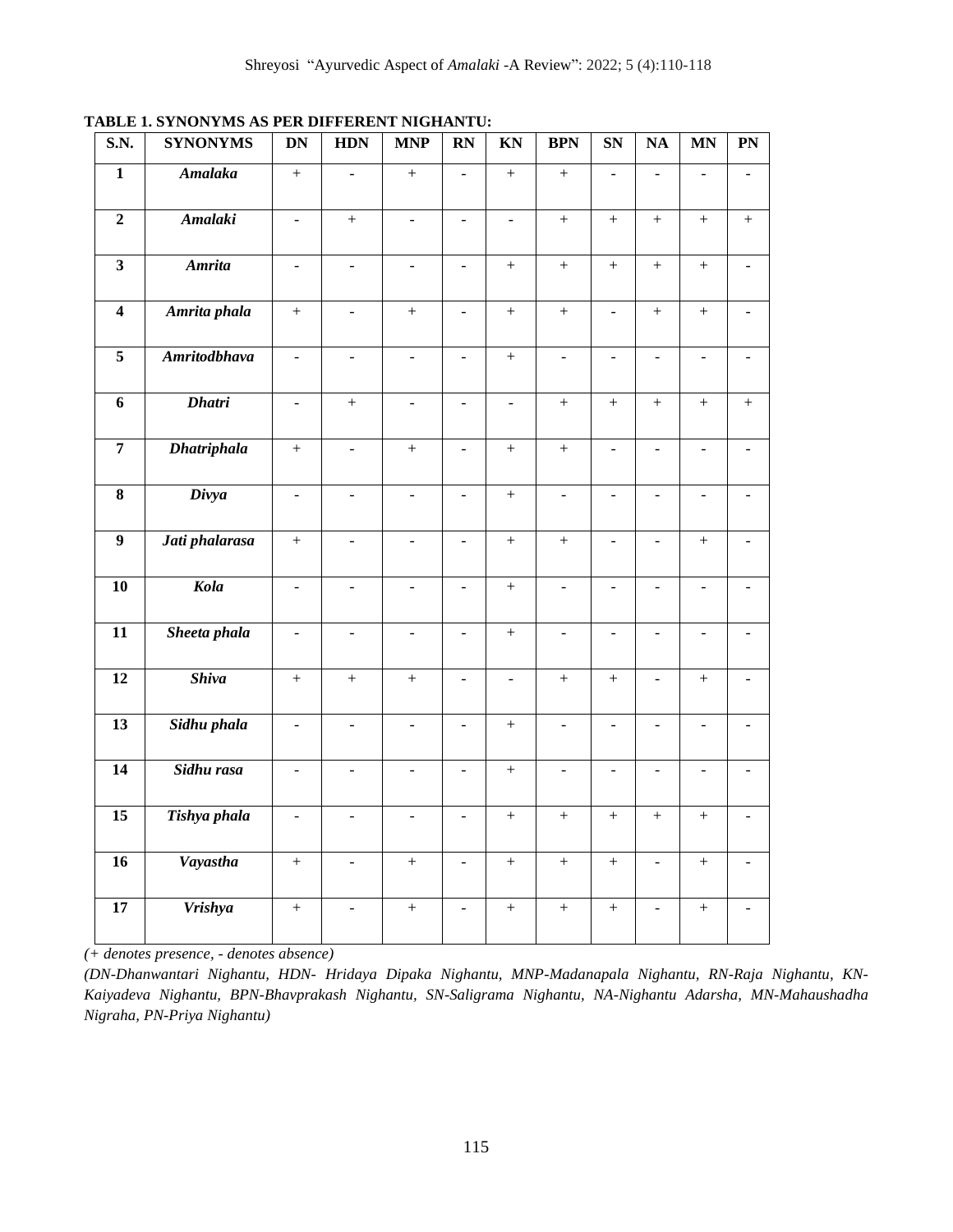| S.N. | <b>SYNONYMS</b> | DN | <b>HDN</b> | <b>MNP</b> | <b>RN</b> | <b>KN</b> | <b>BPN</b> | <b>SN</b> | <b>NA</b> | <b>MN</b> | PN |
|------|-----------------|----|------------|------------|-----------|-----------|------------|-----------|-----------|-----------|----|
|      | Amalaka         |    |            |            | -         |           |            |           |           |           |    |
|      | Amalaki         |    |            |            | -         |           |            |           |           |           |    |

**TABLE 1. SYNONYMS AS PER DIFFERENT NIGHANTU:**

| <b>Amalaki</b><br>$\overline{2}$<br>$\ddot{}$<br>$+$<br>$\frac{1}{2}$<br>$\bar{\phantom{a}}$<br>$\frac{1}{2}$<br>$+$<br>$^{+}$<br>$\frac{1}{2}$                                                         | $+$                 | $+$            |
|---------------------------------------------------------------------------------------------------------------------------------------------------------------------------------------------------------|---------------------|----------------|
|                                                                                                                                                                                                         |                     |                |
| $\overline{\mathbf{3}}$<br><b>Amrita</b><br>$\ddot{}$<br>$^{+}$<br>$\! +$<br>$^{+}$<br>$\frac{1}{2}$<br>$\Box$<br>$\blacksquare$<br>$\Box$                                                              | $\ddot{}$           |                |
| Amrita phala<br>$\overline{4}$<br>$\qquad \qquad +$<br>$\ddot{}$<br>$\qquad \qquad +$<br>$+$<br>$\omega$<br>$\mathbf{u}$<br>$\boldsymbol{+}$<br>$\mathbb{L}$                                            | $\qquad \qquad +$   | $\overline{a}$ |
| $\overline{\mathbf{5}}$<br><b>Amritodbhava</b><br>$\qquad \qquad +$<br>$\Box$<br>$\blacksquare$<br>$\overline{\phantom{a}}$<br>$\Box$<br>$\overline{\phantom{a}}$<br>$\Box$<br>$\overline{\phantom{a}}$ | $\bar{\phantom{a}}$ | $\overline{a}$ |
| <b>Dhatri</b><br>6<br>$+$<br>$^{+}$<br>$+$<br>$+$<br>$\overline{a}$<br>$\frac{1}{2}$<br>$\frac{1}{2}$<br>$\overline{a}$                                                                                 | $\overline{+}$      | $^{+}$         |
| <b>Dhatriphala</b><br>$\overline{7}$<br>$\qquad \qquad +$<br>$\boldsymbol{+}$<br>$\boldsymbol{+}$<br>$\ddot{}$<br>$\blacksquare$<br>$\Box$<br>$\overline{\phantom{a}}$<br>$\overline{\phantom{a}}$      | $\Box$              | $\overline{a}$ |
| Divya<br>$\bf{8}$<br>$\qquad \qquad +$<br>$\overline{a}$<br>$\overline{a}$<br>$\overline{a}$<br>÷,<br>÷,<br>$\overline{a}$<br>$\blacksquare$                                                            | $\blacksquare$      |                |
| $\overline{9}$<br>Jati phalarasa<br>$\qquad \qquad +$<br>$\ddot{}$<br>$\Box$<br>$\boldsymbol{+}$<br>$\overline{\phantom{a}}$<br>$\blacksquare$<br>$\Box$<br>$\blacksquare$                              | $\qquad \qquad +$   | $\overline{a}$ |
| Kola<br>10<br>$\boldsymbol{+}$<br>$\overline{a}$<br>$\overline{\phantom{a}}$<br>$\equiv$<br>$\bar{\phantom{a}}$<br>$\overline{\phantom{a}}$<br>$\blacksquare$<br>$\blacksquare$                         | $\equiv$            |                |
| Sheeta phala<br>11<br>÷.<br>$\bar{+}$<br>$\Box$<br>$\omega$<br>$\Box$<br>$\omega$<br>$\overline{\phantom{a}}$<br>$\overline{\phantom{a}}$                                                               | $\omega$            | $\overline{a}$ |
| <b>Shiva</b><br>12<br>$\qquad \qquad +$<br>$^{+}$<br>$^{+}$<br>$\ddot{}$<br>$^{+}$<br>$\blacksquare$<br>$\blacksquare$<br>$\blacksquare$                                                                | $\ddot{}$           |                |
| Sidhu phala<br>13<br>$\boldsymbol{+}$<br>$\bar{\phantom{a}}$<br>$\omega$<br>$\bar{\mathcal{L}}$<br>$\mathbb{L}^2$<br>$\mathbb{L}$<br>$\mathbf{r}$<br>$\bar{\phantom{a}}$                                | $\mathbb{L}^2$      | $\overline{a}$ |
| $\overline{14}$<br>Sidhu rasa<br>$\qquad \qquad +$<br>$\Box$<br>$\Box$<br>$\Box$<br>$\overline{\phantom{a}}$<br>$\blacksquare$<br>$\Box$<br>$\overline{\phantom{a}}$                                    | $\frac{1}{2}$       | L.             |
| $\overline{15}$<br>Tishya phala<br>$\ddot{}$<br>$\ddot{}$<br>$\ddot{}$<br>$\qquad \qquad +$<br>$\frac{1}{2}$<br>$\frac{1}{2}$<br>$\frac{1}{2}$<br>$\overline{\phantom{a}}$                              | $\ddot{}$           |                |
| Vayastha<br>16<br>$\qquad \qquad +$<br>$\qquad \qquad +$<br>$\boldsymbol{+}$<br>$\! + \!$<br>$\blacksquare$<br>$\blacksquare$<br>$\blacksquare$                                                         |                     |                |
| Vrishya<br>17<br>$+$<br>$+$<br>$+$<br>$+$<br>$+$<br>$\overline{a}$<br>$\overline{\phantom{a}}$<br>$\overline{\phantom{a}}$                                                                              | $+$                 |                |

*(+ denotes presence, - denotes absence)* 

*(DN-Dhanwantari Nighantu, HDN- Hridaya Dipaka Nighantu, MNP-Madanapala Nighantu, RN-Raja Nighantu, KN-Kaiyadeva Nighantu, BPN-Bhavprakash Nighantu, SN-Saligrama Nighantu, NA-Nighantu Adarsha, MN-Mahaushadha Nigraha, PN-Priya Nighantu)*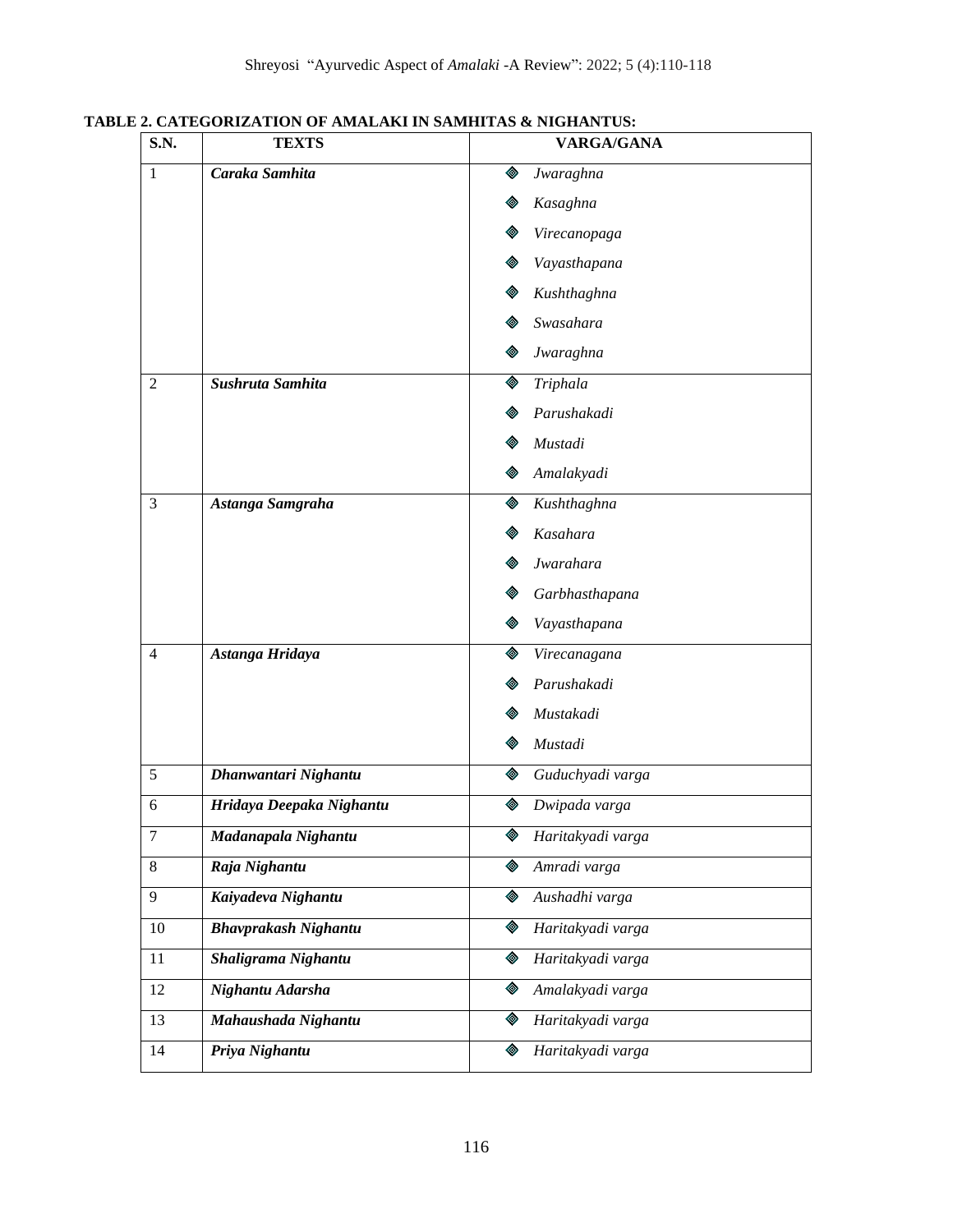| <b>S.N.</b>    | <b>TEXTS</b>                | <b>VARGA/GANA</b>      |
|----------------|-----------------------------|------------------------|
| $\mathbf{1}$   | Caraka Samhita              | Jwaraghna<br>◈         |
|                |                             | Kasaghna               |
|                |                             | Virecanopaga           |
|                |                             | Vayasthapana           |
|                |                             | Kushthaghna            |
|                |                             | Swasahara              |
|                |                             | Jwaraghna              |
| $\overline{2}$ | Sushruta Samhita            | Triphala<br>◈          |
|                |                             | Parushakadi            |
|                |                             | Mustadi                |
|                |                             | Amalakyadi             |
| 3              | Astanga Samgraha            | Kushthaghna<br>◈       |
|                |                             | Kasahara               |
|                |                             | Jwarahara              |
|                |                             | Garbhasthapana         |
|                |                             | Vayasthapana<br>◈      |
| $\overline{4}$ | Astanga Hridaya             | Virecanagana<br>◈      |
|                |                             | Parushakadi            |
|                |                             | Mustakadi              |
|                |                             | Mustadi                |
| 5              | Dhanwantari Nighantu        | Guduchyadi varga<br>◈  |
| 6              | Hridaya Deepaka Nighantu    | Dwipada varga<br>◈     |
| 7              | Madanapala Nighantu         | Haritakyadi varga<br>♦ |
| 8              | Raja Nighantu               | ◈<br>Amradi varga      |
| 9              | Kaiyadeva Nighantu          | Aushadhi varga<br>◈    |
| 10             | <b>Bhavprakash Nighantu</b> | Haritakyadi varga<br>◈ |
| 11             | Shaligrama Nighantu         | ♦<br>Haritakyadi varga |
| 12             | Nighantu Adarsha            | Amalakyadi varga<br>◈  |
| 13             | Mahaushada Nighantu         | Haritakyadi varga<br>◈ |
| 14             | Priya Nighantu              | Haritakyadi varga<br>◈ |
|                |                             |                        |

**TABLE 2. CATEGORIZATION OF AMALAKI IN SAMHITAS & NIGHANTUS:**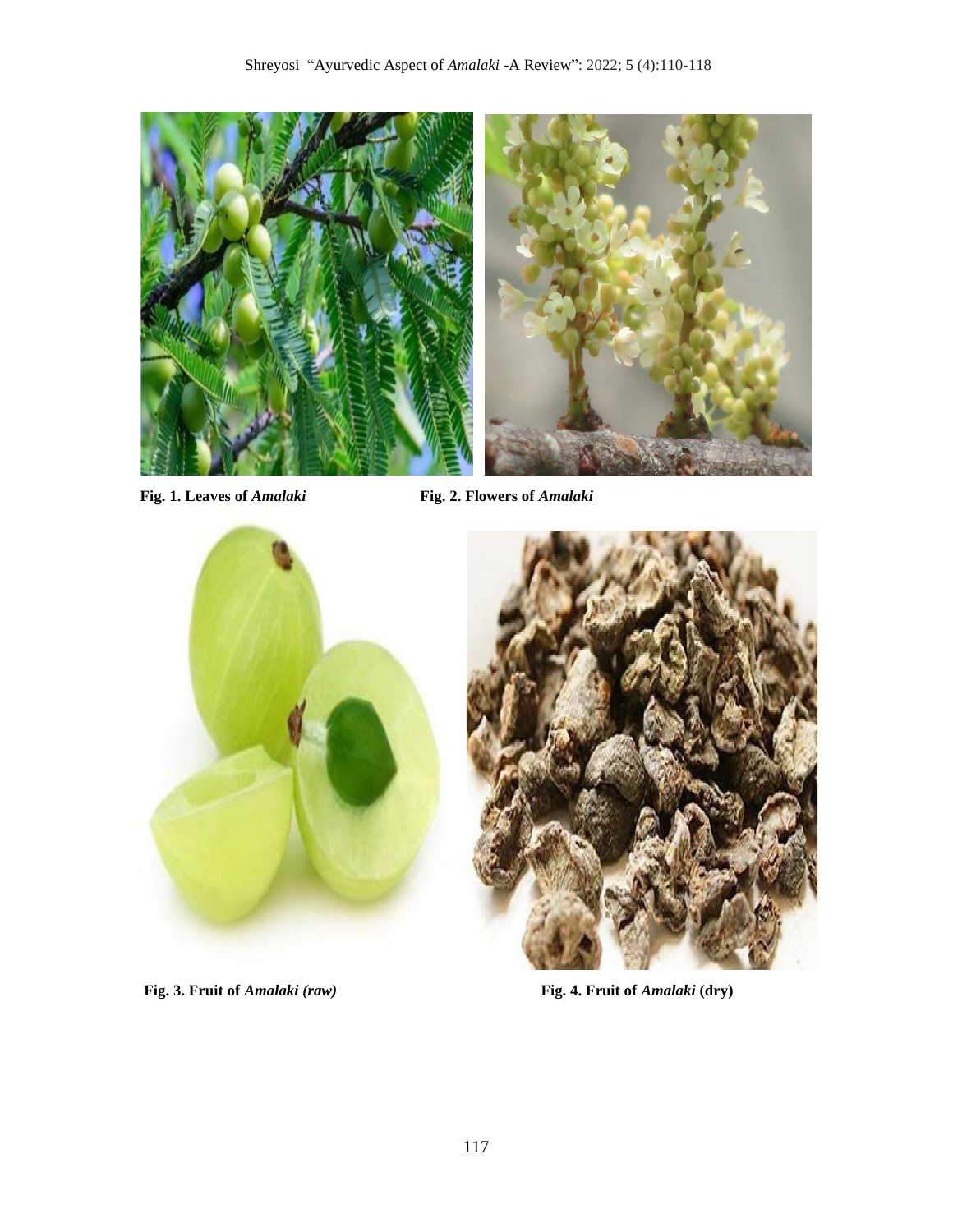

**Fig. 1. Leaves of** *Amalaki* **Fig. 2. Flowers of** *Amalaki*



Fig. 3. Fruit of *Amalaki (raw)* Fig. 4. Fruit of *Amalaki (dry)*